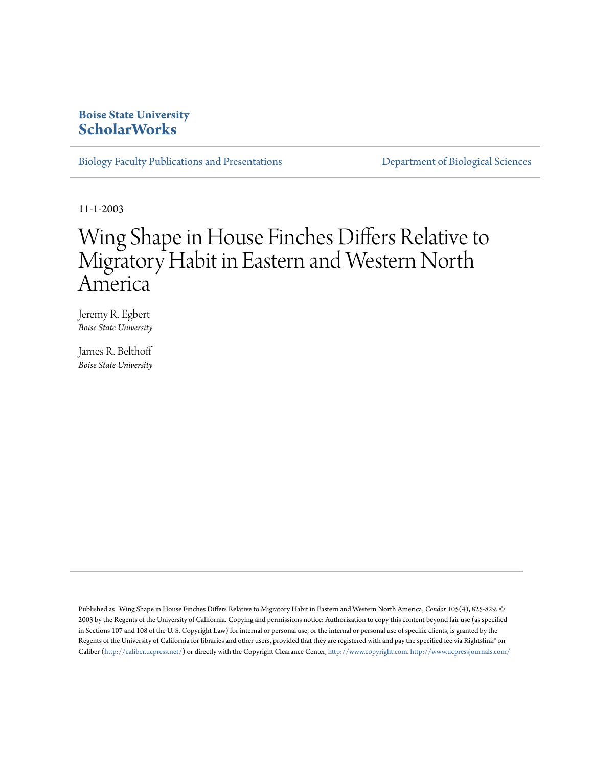## **Boise State University [ScholarWorks](https://scholarworks.boisestate.edu)**

[Biology Faculty Publications and Presentations](https://scholarworks.boisestate.edu/bio_facpubs) **[Department of Biological Sciences](https://scholarworks.boisestate.edu/biosciences)** 

11-1-2003

# Wing Shape in House Finches Differs Relative to Migratory Habit in Eastern and Western North America

Jeremy R. Egbert *Boise State University*

James R. Belthoff *Boise State University*

Published as "Wing Shape in House Finches Differs Relative to Migratory Habit in Eastern and Western North America, *Condor* 105(4), 825-829. © 2003 by the Regents of the University of California. Copying and permissions notice: Authorization to copy this content beyond fair use (as specified in Sections 107 and 108 of the U. S. Copyright Law) for internal or personal use, or the internal or personal use of specific clients, is granted by the Regents of the University of California for libraries and other users, provided that they are registered with and pay the specified fee via Rightslink® on Caliber (<http://caliber.ucpress.net/>) or directly with the Copyright Clearance Center, [http://www.copyright.com.](http://www.copyright.com) <http://www.ucpressjournals.com/>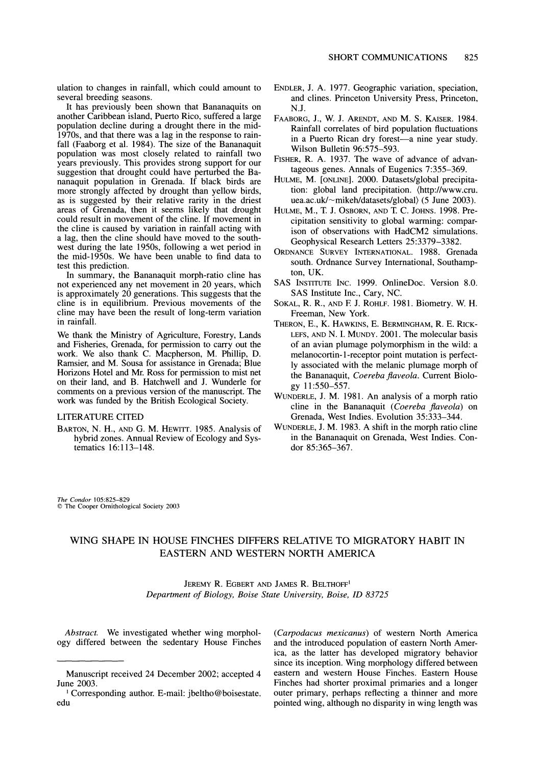**ulation to changes in rainfall, which could amount to several breeding seasons.** 

**It has previously been shown that Bananaquits on another Caribbean island, Puerto Rico, suffered a large population decline during a drought there in the mid-1970s, and that there was a lag in the response to rainfall (Faaborg et al. 1984). The size of the Bananaquit population was most closely related to rainfall two years previously. This provides strong support for our suggestion that drought could have perturbed the Bananaquit population in Grenada. If black birds are more strongly affected by drought than yellow birds, as is suggested by their relative rarity in the driest areas of Grenada, then it seems likely that drought could result in movement of the cline. If movement in the cline is caused by variation in rainfall acting with a lag, then the cline should have moved to the southwest during the late 1950s, following a wet period in the mid-1950s. We have been unable to find data to test this prediction.** 

**In summary, the Bananaquit morph-ratio cline has not experienced any net movement in 20 years, which is approximately 20 generations. This suggests that the cline is in equilibrium. Previous movements of the cline may have been the result of long-term variation in rainfall.** 

**We thank the Ministry of Agriculture, Forestry, Lands and Fisheries, Grenada, for permission to carry out the work. We also thank C. Macpherson, M. Phillip, D. Ramsier, and M. Sousa for assistance in Grenada; Blue Horizons Hotel and Mr. Ross for permission to mist net on their land, and B. Hatchwell and J. Wunderle for comments on a previous version of the manuscript. The work was funded by the British Ecological Society.** 

#### **LITERATURE CITED**

**BARTON, N. H., AND G. M. HEWITT. 1985. Analysis of hybrid zones. Annual Review of Ecology and Systematics 16:113-148.** 

- **ENDLER, J. A. 1977. Geographic variation, speciation, and clines. Princeton University Press, Princeton, N.J.**
- **FAABORG, J., W. J. ARENDT, AND M. S. KAISER. 1984. Rainfall correlates of bird population fluctuations**  in a Puerto Rican dry forest-a nine year study. **Wilson Bulletin 96:575-593.**
- **FISHER, R. A. 1937. The wave of advance of advantageous genes. Annals of Eugenics 7:355-369.**
- **HULME, M. [ONLINE]. 2000. Datasets/global precipitation: global land precipitation. (http://www.cru. uea.ac.uk/-mikeh/datasets/global) (5 June 2003).**
- **HULME, M., T. J. OSBORN, AND T. C. JOHNS. 1998. Precipitation sensitivity to global warming: comparison of observations with HadCM2 simulations. Geophysical Research Letters 25:3379-3382.**
- **ORDNANCE SURVEY INTERNATIONAL. 1988. Grenada south. Ordnance Survey International, Southampton, UK.**
- **SAS INSTITUTE INC. 1999. OnlineDoc. Version 8.0. SAS Institute Inc., Cary, NC.**
- **SOKAL, R. R., AND E J. ROHLF. 1981. Biometry. W. H. Freeman, New York.**
- **THERON, E., K. HAWKINS, E. BERMINGHAM, R. E. RICK-LEFS, AND N. I. MUNDY. 2001. The molecular basis of an avian plumage polymorphism in the wild: a melanocortin- 1-receptor point mutation is perfectly associated with the melanic plumage morph of the Bananaquit, Coereba flaveola. Current Biology 11:550-557.**
- **WUNDERLE, J. M. 1981. An analysis of a morph ratio cline in the Bananaquit (Coereba flaveola) on Grenada, West Indies. Evolution 35:333-344.**
- **WUNDERLE, J. M. 1983. A shift in the morph ratio cline in the Bananaquit on Grenada, West Indies. Condor 85:365-367.**

**The Condor 105:825-829 ? The Cooper Ornithological Society 2003** 

### **WING SHAPE IN HOUSE FINCHES DIFFERS RELATIVE TO MIGRATORY HABIT IN EASTERN AND WESTERN NORTH AMERICA**

**JEREMY R. EGBERT AND JAMES R. BELTHOFF1 Department of Biology, Boise State University, Boise, ID 83725** 

**Abstract. We investigated whether wing morphology differed between the sedentary House Finches** 

**(Carpodacus mexicanus) of western North America and the introduced population of eastern North America, as the latter has developed migratory behavior since its inception. Wing morphology differed between eastern and western House Finches. Eastern House Finches had shorter proximal primaries and a longer outer primary, perhaps reflecting a thinner and more pointed wing, although no disparity in wing length was** 

**Manuscript received 24 December 2002; accepted 4 June 2003.** 

**<sup>1</sup>Corresponding author. E-mail: jbeltho@boisestate. edu**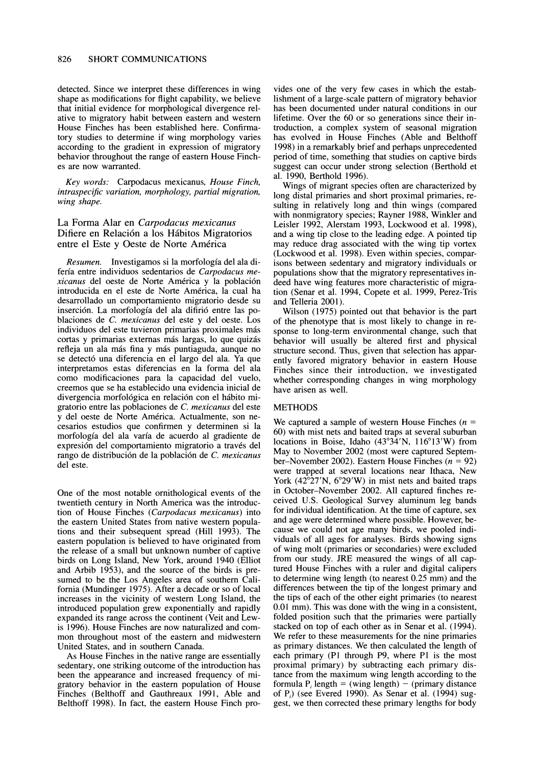**detected. Since we interpret these differences in wing shape as modifications for flight capability, we believe that initial evidence for morphological divergence relative to migratory habit between eastern and western House Finches has been established here. Confirmatory studies to determine if wing morphology varies according to the gradient in expression of migratory behavior throughout the range of eastern House Finches are now warranted.** 

**Key words: Carpodacus mexicanus, House Finch, intraspecific variation, morphology, partial migration, wing shape.** 

#### **La Forma Alar en Carpodacus mexicanus Difiere en Relaci6n a los Haibitos Migratorios entre el Este y Oeste de Norte Am6rica**

**Resumen. Investigamos si la morfologia del ala diferfa entre individuos sedentarios de Carpodacus mexicanus del oeste de Norte America y la poblaci6n introducida en el este de Norte America, la cual ha desarrollado un comportamiento migratorio desde su inserci6n. La morfologia del ala difiri6 entre las poblaciones de C. mexicanus del este y del oeste. Los individuos del este tuvieron primarias proximales mais**  cortas y primarias externas más largas, lo que quizás **refleja un ala mais fina y mais puntiaguda, aunque no se detect6 una diferencia en el largo del ala. Ya que interpretamos estas diferencias en la forma del ala como modificaciones para la capacidad del vuelo, creemos que se ha establecido una evidencia inicial de divergencia morfol6gica en relaci6n con el hibito migratorio entre las poblaciones de C. mexicanus del este y del oeste de Norte America. Actualmente, son necesarios estudios que confirmen y determinen si la morfologia del ala varia de acuerdo al gradiente de**  expresión del comportamiento migratorio a través del rango de distribución de la población de C. mexicanus **del este.** 

**One of the most notable ornithological events of the twentieth century in North America was the introduction of House Finches (Carpodacus mexicanus) into the eastern United States from native western populations and their subsequent spread (Hill 1993). The eastern population is believed to have originated from the release of a small but unknown number of captive birds on Long Island, New York, around 1940 (Elliot and Arbib 1953), and the source of the birds is presumed to be the Los Angeles area of southern California (Mundinger 1975). After a decade or so of local increases in the vicinity of western Long Island, the introduced population grew exponentially and rapidly expanded its range across the continent (Veit and Lewis 1996). House Finches are now naturalized and common throughout most of the eastern and midwestern United States, and in southern Canada.** 

**As House Finches in the native range are essentially sedentary, one striking outcome of the introduction has been the appearance and increased frequency of migratory behavior in the eastern population of House Finches (Belthoff and Gauthreaux 1991, Able and Belthoff 1998). In fact, the eastern House Finch pro-**

**vides one of the very few cases in which the establishment of a large-scale pattern of migratory behavior has been documented under natural conditions in our lifetime. Over the 60 or so generations since their introduction, a complex system of seasonal migration has evolved in House Finches (Able and Belthoff 1998) in a remarkably brief and perhaps unprecedented period of time, something that studies on captive birds suggest can occur under strong selection (Berthold et al. 1990, Berthold 1996).** 

**Wings of migrant species often are characterized by long distal primaries and short proximal primaries, resulting in relatively long and thin wings (compared with nonmigratory species; Rayner 1988, Winkler and Leisler 1992, Alerstam 1993, Lockwood et al. 1998), and a wing tip close to the leading edge. A pointed tip may reduce drag associated with the wing tip vortex (Lockwood et al. 1998). Even within species, comparisons between sedentary and migratory individuals or populations show that the migratory representatives indeed have wing features more characteristic of migration (Senar et al. 1994, Copete et al. 1999, Perez-Tris and Telleria 2001).** 

**Wilson (1975) pointed out that behavior is the part of the phenotype that is most likely to change in response to long-term environmental change, such that behavior will usually be altered first and physical structure second. Thus, given that selection has apparently favored migratory behavior in eastern House Finches since their introduction, we investigated whether corresponding changes in wing morphology have arisen as well.** 

#### **METHODS**

**We captured a sample of western House Finches (n = 60) with mist nets and baited traps at several suburban**  locations in Boise, Idaho (43°34'N, 116°13'W) from **May to November 2002 (most were captured Septem**ber-November 2002). Eastern House Finches  $(n = 92)$ **were trapped at several locations near Ithaca, New**  York (42<sup>°</sup>27'N, 6<sup>°</sup>29'W) in mist nets and baited traps **in October-November 2002. All captured finches received U.S. Geological Survey aluminum leg bands for individual identification. At the time of capture, sex and age were determined where possible. However, because we could not age many birds, we pooled individuals of all ages for analyses. Birds showing signs of wing molt (primaries or secondaries) were excluded from our study. JRE measured the wings of all captured House Finches with a ruler and digital calipers to determine wing length (to nearest 0.25 mm) and the differences between the tip of the longest primary and the tips of each of the other eight primaries (to nearest 0.01 mm). This was done with the wing in a consistent, folded position such that the primaries were partially stacked on top of each other as in Senar et al. (1994). We refer to these measurements for the nine primaries as primary distances. We then calculated the length of each primary (PI through P9, where P1 is the most proximal primary) by subtracting each primary distance from the maximum wing length according to the formula P<sub>i</sub> length = (wing length) - (primary distance of Pi) (see Evered 1990). As Senar et al. (1994) suggest, we then corrected these primary lengths for body**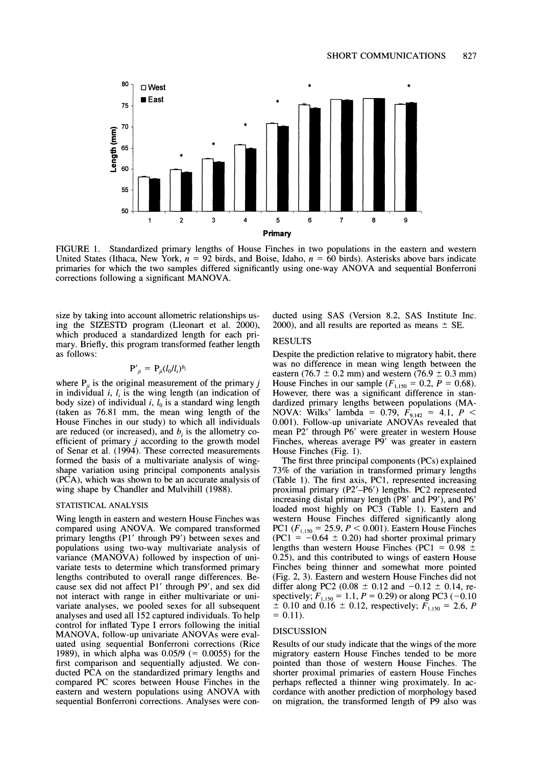

**FIGURE 1. Standardized primary lengths of House Finches in two populations in the eastern and western United States (Ithaca, New York, n = 92 birds, and Boise, Idaho, n = 60 birds). Asterisks above bars indicate primaries for which the two samples differed significantly using one-way ANOVA and sequential Bonferroni corrections following a significant MANOVA.** 

**size by taking into account allometric relationships using the SIZESTD program (Lleonart et al. 2000), which produced a standardized length for each primary. Briefly, this program transformed feather length as follows:** 

$$
\mathbf{P'}_{ii} = \mathbf{P}_{ii} (l_0/l_i)^{b_i}
$$

where  $P_{ii}$  is the original measurement of the primary  $j$ in individual  $i$ ,  $l_i$  is the wing length (an indication of body size) of individual  $i$ ,  $l_0$  is a standard wing length **(taken as 76.81 mm, the mean wing length of the House Finches in our study) to which all individuals**  are reduced (or increased), and  $b_i$  is the allometry co**efficient of primary j according to the growth model of Senar et al. (1994). These corrected measurements formed the basis of a multivariate analysis of wingshape variation using principal components analysis (PCA), which was shown to be an accurate analysis of wing shape by Chandler and Mulvihill (1988).** 

#### **STATISTICAL ANALYSIS**

**Wing length in eastern and western House Finches was compared using ANOVA. We compared transformed primary lengths (Pl' through P9') between sexes and populations using two-way multivariate analysis of variance (MANOVA) followed by inspection of univariate tests to determine which transformed primary lengths contributed to overall range differences. Because sex did not affect P1' through P9', and sex did not interact with range in either multivariate or univariate analyses, we pooled sexes for all subsequent analyses and used all 152 captured individuals. To help control for inflated Type I errors following the initial MANOVA, follow-up univariate ANOVAs were evaluated using sequential Bonferroni corrections (Rice 1989), in which alpha was 0.05/9 (= 0.0055) for the first comparison and sequentially adjusted. We conducted PCA on the standardized primary lengths and compared PC scores between House Finches in the eastern and western populations using ANOVA with sequential Bonferroni corrections. Analyses were con-** **ducted using SAS (Version 8.2, SAS Institute Inc.**  2000), and all results are reported as means  $\pm$  SE.

#### **RESULTS**

**Despite the prediction relative to migratory habit, there was no difference in mean wing length between the**  eastern (76.7  $\pm$  0.2 mm) and western (76.9  $\pm$  0.3 mm) **House Finches in our sample**  $(F_{1,150} = 0.2, P = 0.68)$ **. However, there was a significant difference in standardized primary lengths between populations (MA-NOVA:** Wilks' lambda = 0.79,  $F_{9,142} = 4.1$ ,  $P \le$ **0.001). Follow-up univariate ANOVAs revealed that mean P2' through P6' were greater in western House Finches, whereas average P9' was greater in eastern House Finches (Fig. 1).** 

**The first three principal components (PCs) explained 73% of the variation in transformed primary lengths (Table 1). The first axis, PC1, represented increasing proximal primary (P2'-P6') lengths. PC2 represented increasing distal primary length (P8' and P9'), and P6' loaded most highly on PC3 (Table 1). Eastern and western House Finches differed significantly along PC 1 (F,150 = 25.9, P < 0.001). Eastern House Finches**   $(PC1 = -0.64 \pm 0.20)$  had shorter proximal primary lengths than western House Finches (PC1 =  $0.98 \pm$ **0.25), and this contributed to wings of eastern House Finches being thinner and somewhat more pointed (Fig. 2, 3). Eastern and western House Finches did not**  differ along PC2 (0.08  $\pm$  0.12 and  $-0.12 \pm 0.14$ , respectively;  $F_{1,150} = 1.1$ ,  $P = 0.29$ ) or along PC3 (-0.10  $\pm$  0.10 and 0.16  $\pm$  0.12, respectively;  $\vec{F}_{1,150} = 2.6$ , P  $= 0.11$ .

#### **DISCUSSION**

**Results of our study indicate that the wings of the more migratory eastern House Finches tended to be more pointed than those of western House Finches. The shorter proximal primaries of eastern House Finches perhaps reflected a thinner wing proximately. In accordance with another prediction of morphology based on migration, the transformed length of P9 also was**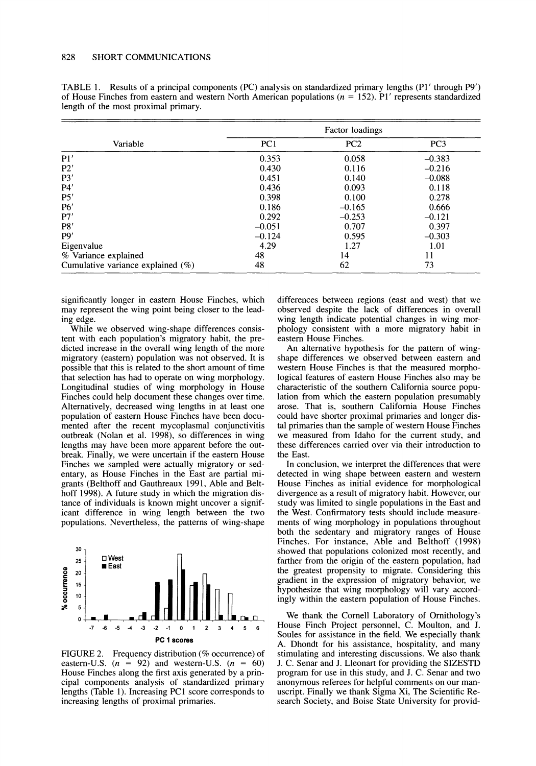| TABLE 1. Results of a principal components (PC) analysis on standardized primary lengths (P1' through P9')      |  |
|-----------------------------------------------------------------------------------------------------------------|--|
| of House Finches from eastern and western North American populations ( $n = 152$ ). P1' represents standardized |  |
| length of the most proximal primary.                                                                            |  |

| Variable                             | Factor loadings |                 |                 |  |
|--------------------------------------|-----------------|-----------------|-----------------|--|
|                                      | PC1             | PC <sub>2</sub> | PC <sub>3</sub> |  |
| P1'                                  | 0.353           | 0.058           | $-0.383$        |  |
| P2'                                  | 0.430           | 0.116           | $-0.216$        |  |
| P3'                                  | 0.451           | 0.140           | $-0.088$        |  |
| P4'                                  | 0.436           | 0.093           | 0.118           |  |
| P5'                                  | 0.398           | 0.100           | 0.278           |  |
| P6'                                  | 0.186           | $-0.165$        | 0.666           |  |
| P7'                                  | 0.292           | $-0.253$        | $-0.121$        |  |
| P8'                                  | $-0.051$        | 0.707           | 0.397           |  |
| P9'                                  | $-0.124$        | 0.595           | $-0.303$        |  |
| Eigenvalue                           | 4.29            | 1.27            | 1.01            |  |
| % Variance explained                 | 48              | 14              | 11              |  |
| Cumulative variance explained $(\%)$ | 48              | 62              | 73              |  |

**significantly longer in eastern House Finches, which may represent the wing point being closer to the leading edge.** 

**While we observed wing-shape differences consistent with each population's migratory habit, the predicted increase in the overall wing length of the more migratory (eastern) population was not observed. It is possible that this is related to the short amount of time that selection has had to operate on wing morphology. Longitudinal studies of wing morphology in House Finches could help document these changes over time. Alternatively, decreased wing lengths in at least one population of eastern House Finches have been documented after the recent mycoplasmal conjunctivitis outbreak (Nolan et al. 1998), so differences in wing lengths may have been more apparent before the outbreak. Finally, we were uncertain if the eastern House Finches we sampled were actually migratory or sedentary, as House Finches in the East are partial migrants (Belthoff and Gauthreaux 1991, Able and Belthoff 1998). A future study in which the migration distance of individuals is known might uncover a significant difference in wing length between the two populations. Nevertheless, the patterns of wing-shape** 



**FIGURE 2. Frequency distribution (% occurrence) of**  eastern-U.S.  $(n = 92)$  and western-U.S.  $(n = 60)$ **House Finches along the first axis generated by a principal components analysis of standardized primary lengths (Table 1). Increasing PC1 score corresponds to increasing lengths of proximal primaries.** 

**differences between regions (east and west) that we observed despite the lack of differences in overall wing length indicate potential changes in wing morphology consistent with a more migratory habit in eastern House Finches.** 

**An alternative hypothesis for the pattern of wingshape differences we observed between eastern and western House Finches is that the measured morphological features of eastern House Finches also may be characteristic of the southern California source population from which the eastern population presumably arose. That is, southern California House Finches could have shorter proximal primaries and longer distal primaries than the sample of western House Finches we measured from Idaho for the current study, and these differences carried over via their introduction to the East.** 

**In conclusion, we interpret the differences that were detected in wing shape between eastern and western House Finches as initial evidence for morphological divergence as a result of migratory habit. However, our study was limited to single populations in the East and the West. Confirmatory tests should include measurements of wing morphology in populations throughout both the sedentary and migratory ranges of House Finches. For instance, Able and Belthoff (1998) showed that populations colonized most recently, and farther from the origin of the eastern population, had the greatest propensity to migrate. Considering this gradient in the expression of migratory behavior, we hypothesize that wing morphology will vary accordingly within the eastern population of House Finches.** 

**We thank the Cornell Laboratory of Ornithology's House Finch Project personnel, C. Moulton, and J. Soules for assistance in the field. We especially thank A. Dhondt for his assistance, hospitality, and many stimulating and interesting discussions. We also thank J. C. Senar and J. Lleonart for providing the SIZESTD program for use in this study, and J. C. Senar and two anonymous referees for helpful comments on our manuscript. Finally we thank Sigma Xi, The Scientific Research Society, and Boise State University for provid-**